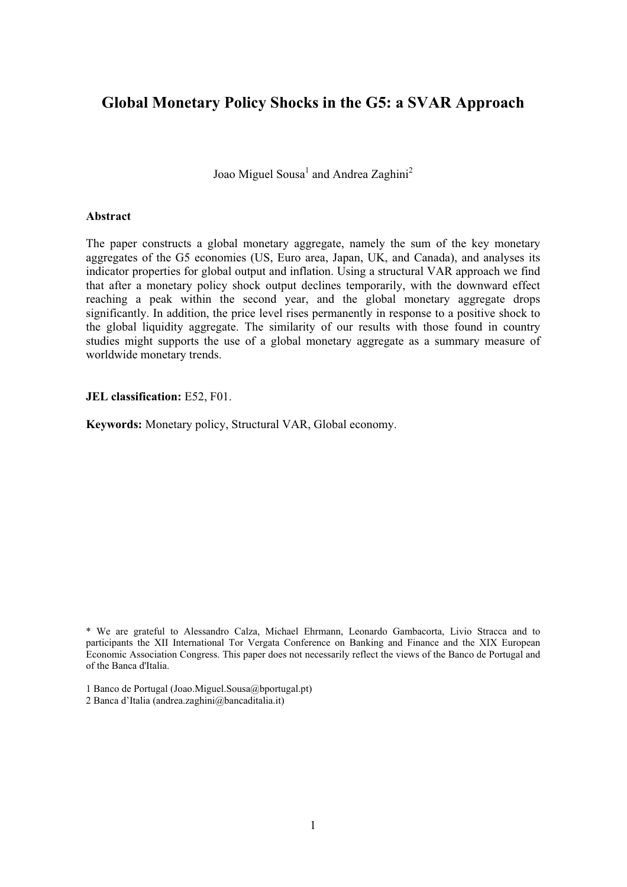# **Global Monetary Policy Shocks in the G5: a SVAR Approach**

Joao Miguel Sousa<sup>1</sup> and Andrea Zaghini<sup>2</sup>

# **Abstract**

The paper constructs a global monetary aggregate, namely the sum of the key monetary aggregates of the G5 economies (US, Euro area, Japan, UK, and Canada), and analyses its indicator properties for global output and inflation. Using a structural VAR approach we find that after a monetary policy shock output declines temporarily, with the downward effect reaching a peak within the second year, and the global monetary aggregate drops significantly. In addition, the price level rises permanently in response to a positive shock to the global liquidity aggregate. The similarity of our results with those found in country studies might supports the use of a global monetary aggregate as a summary measure of worldwide monetary trends.

# **JEL classification:** E52, F01.

**Keywords:** Monetary policy, Structural VAR, Global economy.

\* We are grateful to Alessandro Calza, Michael Ehrmann, Leonardo Gambacorta, Livio Stracca and to participants the XII International Tor Vergata Conference on Banking and Finance and the XIX European Economic Association Congress. This paper does not necessarily reflect the views of the Banco de Portugal and of the Banca d'Italia.

1 Banco de Portugal (Joao.Miguel.Sousa@bportugal.pt) 2 Banca d'Italia (andrea.zaghini@bancaditalia.it)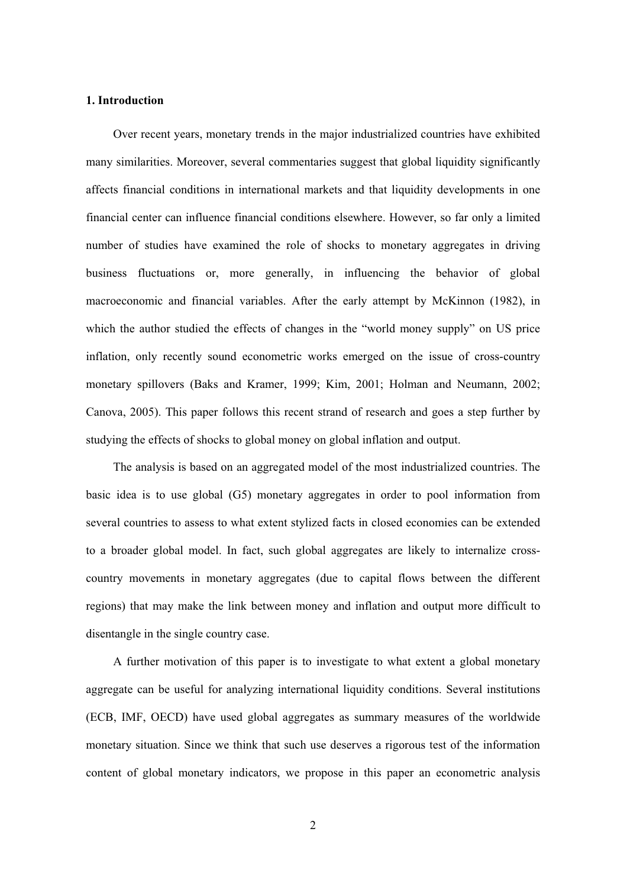## **1. Introduction**

Over recent years, monetary trends in the major industrialized countries have exhibited many similarities. Moreover, several commentaries suggest that global liquidity significantly affects financial conditions in international markets and that liquidity developments in one financial center can influence financial conditions elsewhere. However, so far only a limited number of studies have examined the role of shocks to monetary aggregates in driving business fluctuations or, more generally, in influencing the behavior of global macroeconomic and financial variables. After the early attempt by McKinnon (1982), in which the author studied the effects of changes in the "world money supply" on US price inflation, only recently sound econometric works emerged on the issue of cross-country monetary spillovers (Baks and Kramer, 1999; Kim, 2001; Holman and Neumann, 2002; Canova, 2005). This paper follows this recent strand of research and goes a step further by studying the effects of shocks to global money on global inflation and output.

The analysis is based on an aggregated model of the most industrialized countries. The basic idea is to use global (G5) monetary aggregates in order to pool information from several countries to assess to what extent stylized facts in closed economies can be extended to a broader global model. In fact, such global aggregates are likely to internalize crosscountry movements in monetary aggregates (due to capital flows between the different regions) that may make the link between money and inflation and output more difficult to disentangle in the single country case.

A further motivation of this paper is to investigate to what extent a global monetary aggregate can be useful for analyzing international liquidity conditions. Several institutions (ECB, IMF, OECD) have used global aggregates as summary measures of the worldwide monetary situation. Since we think that such use deserves a rigorous test of the information content of global monetary indicators, we propose in this paper an econometric analysis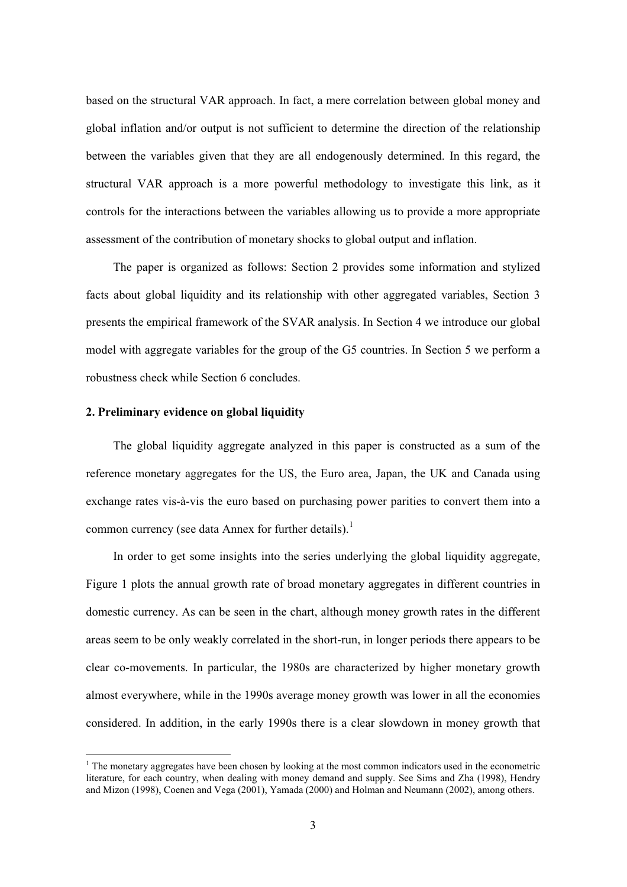based on the structural VAR approach. In fact, a mere correlation between global money and global inflation and/or output is not sufficient to determine the direction of the relationship between the variables given that they are all endogenously determined. In this regard, the structural VAR approach is a more powerful methodology to investigate this link, as it controls for the interactions between the variables allowing us to provide a more appropriate assessment of the contribution of monetary shocks to global output and inflation.

The paper is organized as follows: Section 2 provides some information and stylized facts about global liquidity and its relationship with other aggregated variables, Section 3 presents the empirical framework of the SVAR analysis. In Section 4 we introduce our global model with aggregate variables for the group of the G5 countries. In Section 5 we perform a robustness check while Section 6 concludes.

## **2. Preliminary evidence on global liquidity**

The global liquidity aggregate analyzed in this paper is constructed as a sum of the reference monetary aggregates for the US, the Euro area, Japan, the UK and Canada using exchange rates vis-à-vis the euro based on purchasing power parities to convert them into a common currency (see data Annex for further details).<sup>1</sup>

In order to get some insights into the series underlying the global liquidity aggregate, Figure 1 plots the annual growth rate of broad monetary aggregates in different countries in domestic currency. As can be seen in the chart, although money growth rates in the different areas seem to be only weakly correlated in the short-run, in longer periods there appears to be clear co-movements. In particular, the 1980s are characterized by higher monetary growth almost everywhere, while in the 1990s average money growth was lower in all the economies considered. In addition, in the early 1990s there is a clear slowdown in money growth that

<sup>&</sup>lt;sup>1</sup> The monetary aggregates have been chosen by looking at the most common indicators used in the econometric literature, for each country, when dealing with money demand and supply. See Sims and Zha (1998), Hendry and Mizon (1998), Coenen and Vega (2001), Yamada (2000) and Holman and Neumann (2002), among others.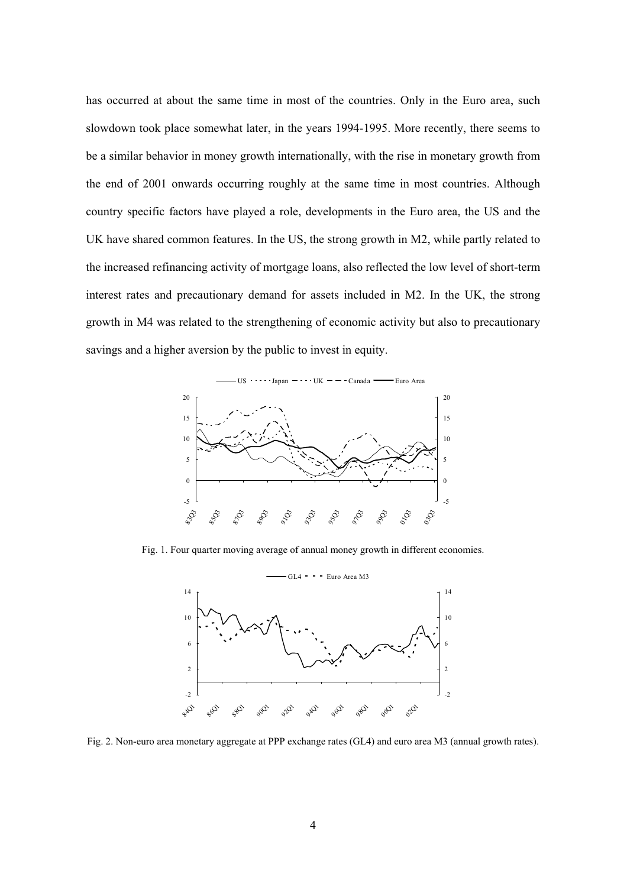has occurred at about the same time in most of the countries. Only in the Euro area, such slowdown took place somewhat later, in the years 1994-1995. More recently, there seems to be a similar behavior in money growth internationally, with the rise in monetary growth from the end of 2001 onwards occurring roughly at the same time in most countries. Although country specific factors have played a role, developments in the Euro area, the US and the UK have shared common features. In the US, the strong growth in M2, while partly related to the increased refinancing activity of mortgage loans, also reflected the low level of short-term interest rates and precautionary demand for assets included in M2. In the UK, the strong growth in M4 was related to the strengthening of economic activity but also to precautionary savings and a higher aversion by the public to invest in equity.



Fig. 1. Four quarter moving average of annual money growth in different economies.



Fig. 2. Non-euro area monetary aggregate at PPP exchange rates (GL4) and euro area M3 (annual growth rates).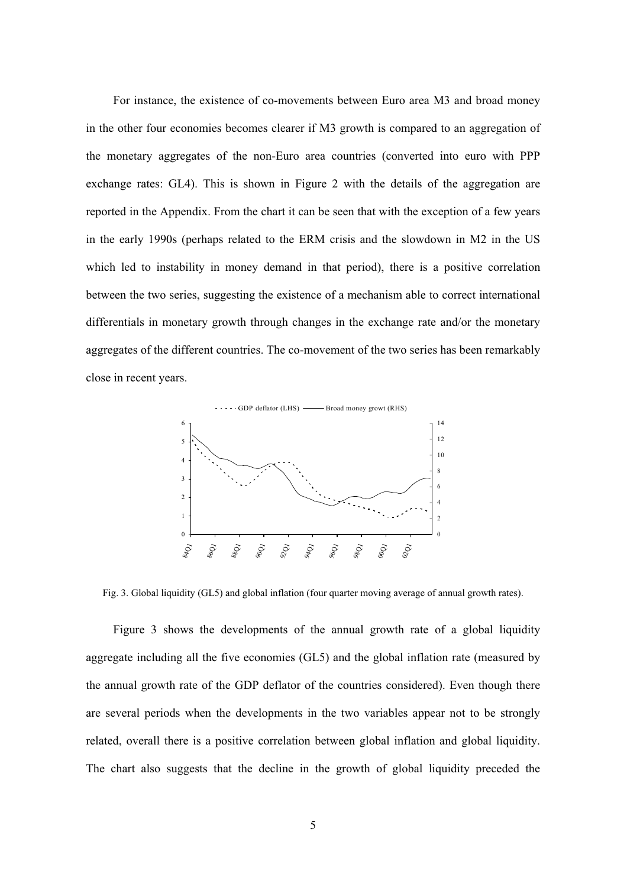For instance, the existence of co-movements between Euro area M3 and broad money in the other four economies becomes clearer if M3 growth is compared to an aggregation of the monetary aggregates of the non-Euro area countries (converted into euro with PPP exchange rates: GL4). This is shown in Figure 2 with the details of the aggregation are reported in the Appendix. From the chart it can be seen that with the exception of a few years in the early 1990s (perhaps related to the ERM crisis and the slowdown in M2 in the US which led to instability in money demand in that period), there is a positive correlation between the two series, suggesting the existence of a mechanism able to correct international differentials in monetary growth through changes in the exchange rate and/or the monetary aggregates of the different countries. The co-movement of the two series has been remarkably close in recent years.



Fig. 3. Global liquidity (GL5) and global inflation (four quarter moving average of annual growth rates).

Figure 3 shows the developments of the annual growth rate of a global liquidity aggregate including all the five economies (GL5) and the global inflation rate (measured by the annual growth rate of the GDP deflator of the countries considered). Even though there are several periods when the developments in the two variables appear not to be strongly related, overall there is a positive correlation between global inflation and global liquidity. The chart also suggests that the decline in the growth of global liquidity preceded the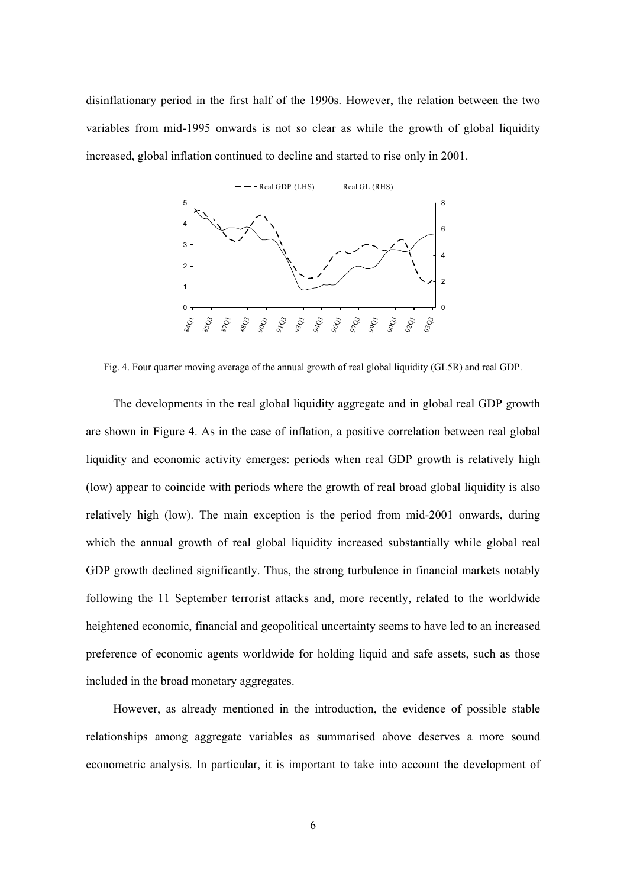disinflationary period in the first half of the 1990s. However, the relation between the two variables from mid-1995 onwards is not so clear as while the growth of global liquidity increased, global inflation continued to decline and started to rise only in 2001.



Fig. 4. Four quarter moving average of the annual growth of real global liquidity (GL5R) and real GDP.

The developments in the real global liquidity aggregate and in global real GDP growth are shown in Figure 4. As in the case of inflation, a positive correlation between real global liquidity and economic activity emerges: periods when real GDP growth is relatively high (low) appear to coincide with periods where the growth of real broad global liquidity is also relatively high (low). The main exception is the period from mid-2001 onwards, during which the annual growth of real global liquidity increased substantially while global real GDP growth declined significantly. Thus, the strong turbulence in financial markets notably following the 11 September terrorist attacks and, more recently, related to the worldwide heightened economic, financial and geopolitical uncertainty seems to have led to an increased preference of economic agents worldwide for holding liquid and safe assets, such as those included in the broad monetary aggregates.

However, as already mentioned in the introduction, the evidence of possible stable relationships among aggregate variables as summarised above deserves a more sound econometric analysis. In particular, it is important to take into account the development of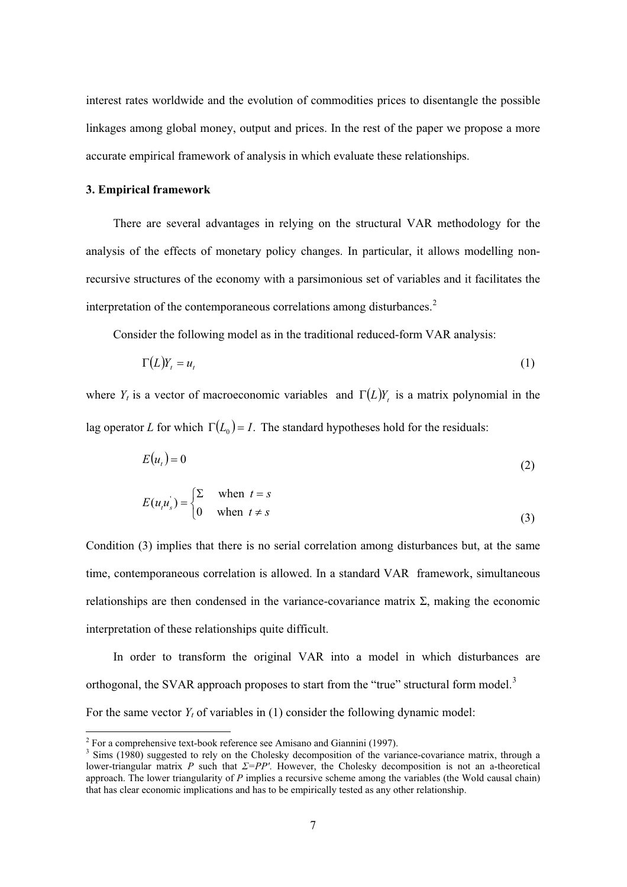interest rates worldwide and the evolution of commodities prices to disentangle the possible linkages among global money, output and prices. In the rest of the paper we propose a more accurate empirical framework of analysis in which evaluate these relationships.

## **3. Empirical framework**

There are several advantages in relying on the structural VAR methodology for the analysis of the effects of monetary policy changes. In particular, it allows modelling nonrecursive structures of the economy with a parsimonious set of variables and it facilitates the interpretation of the contemporaneous correlations among disturbances.<sup>2</sup>

Consider the following model as in the traditional reduced-form VAR analysis:

$$
\Gamma(L)Y_t = u_t \tag{1}
$$

where  $Y_t$  is a vector of macroeconomic variables and  $\Gamma(L)Y_t$  is a matrix polynomial in the lag operator *L* for which  $\Gamma(L_0) = I$ . The standard hypotheses hold for the residuals:

$$
E(u_t) = 0 \tag{2}
$$

$$
E(u_t u_s) = \begin{cases} \sum & \text{when } t = s \\ 0 & \text{when } t \neq s \end{cases}
$$
 (3)

Condition (3) implies that there is no serial correlation among disturbances but, at the same time, contemporaneous correlation is allowed. In a standard VAR framework, simultaneous relationships are then condensed in the variance-covariance matrix  $\Sigma$ , making the economic interpretation of these relationships quite difficult.

In order to transform the original VAR into a model in which disturbances are orthogonal, the SVAR approach proposes to start from the "true" structural form model.<sup>3</sup> For the same vector  $Y_t$  of variables in (1) consider the following dynamic model:

<sup>&</sup>lt;sup>2</sup> For a comprehensive text-book reference see Amisano and Giannini (1997).

 $3$  Sims (1980) suggested to rely on the Cholesky decomposition of the variance-covariance matrix, through a lower-triangular matrix *P* such that  $\Sigma = PP'$ . However, the Cholesky decomposition is not an a-theoretical approach. The lower triangularity of *P* implies a recursive scheme among the variables (the Wold causal chain) that has clear economic implications and has to be empirically tested as any other relationship.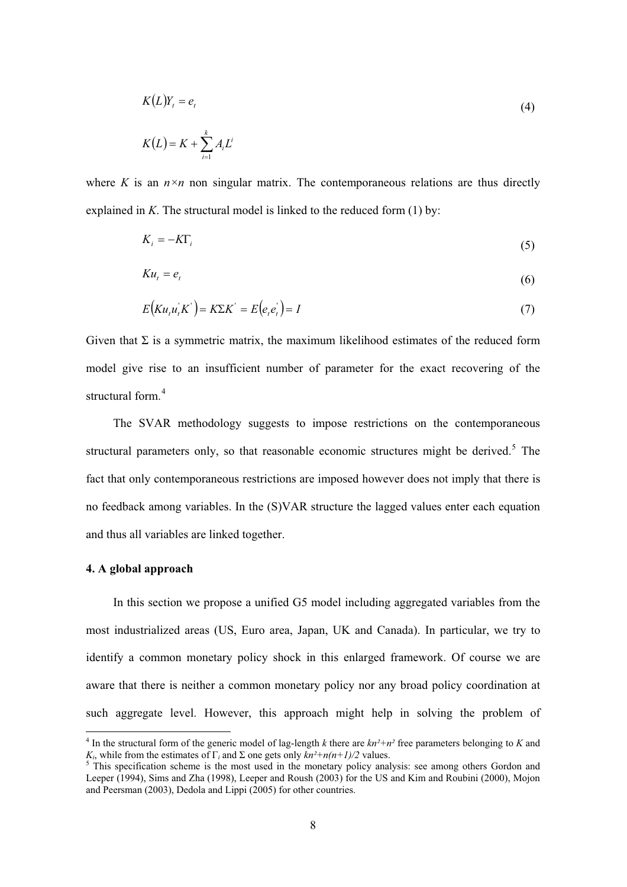$$
K(L)Y_t = e_t
$$
  
\n
$$
K(L) = K + \sum_{i=1}^{k} A_i L^i
$$
\n(4)

where *K* is an  $n \times n$  non singular matrix. The contemporaneous relations are thus directly explained in *K*. The structural model is linked to the reduced form (1) by:

$$
K_i = -KT_i \tag{5}
$$

$$
K u_t = e_t \tag{6}
$$

$$
E\big(Ku_{t}u_{t}^{'}K^{'}\big)=K\Sigma K^{'}=E\big(e_{t}e_{t}^{'}\big)=I
$$
\n<sup>(7)</sup>

Given that  $\Sigma$  is a symmetric matrix, the maximum likelihood estimates of the reduced form model give rise to an insufficient number of parameter for the exact recovering of the structural form.<sup>4</sup>

The SVAR methodology suggests to impose restrictions on the contemporaneous structural parameters only, so that reasonable economic structures might be derived.<sup>5</sup> The fact that only contemporaneous restrictions are imposed however does not imply that there is no feedback among variables. In the (S)VAR structure the lagged values enter each equation and thus all variables are linked together.

#### **4. A global approach**

In this section we propose a unified G5 model including aggregated variables from the most industrialized areas (US, Euro area, Japan, UK and Canada). In particular, we try to identify a common monetary policy shock in this enlarged framework. Of course we are aware that there is neither a common monetary policy nor any broad policy coordination at such aggregate level. However, this approach might help in solving the problem of

<sup>&</sup>lt;sup>4</sup> In the structural form of the generic model of lag-length  $k$  there are  $kn^2 + n^2$  free parameters belonging to  $K$  and  $K_i$ , while from the estimates of  $\Gamma_i$  and  $\Sigma$  one gets only  $\overline{kn^2+n(n+1)/2}$  values.

<sup>&</sup>lt;sup>5</sup> This specification scheme is the most used in the monetary policy analysis: see among others Gordon and Leeper (1994), Sims and Zha (1998), Leeper and Roush (2003) for the US and Kim and Roubini (2000), Mojon and Peersman (2003), Dedola and Lippi (2005) for other countries.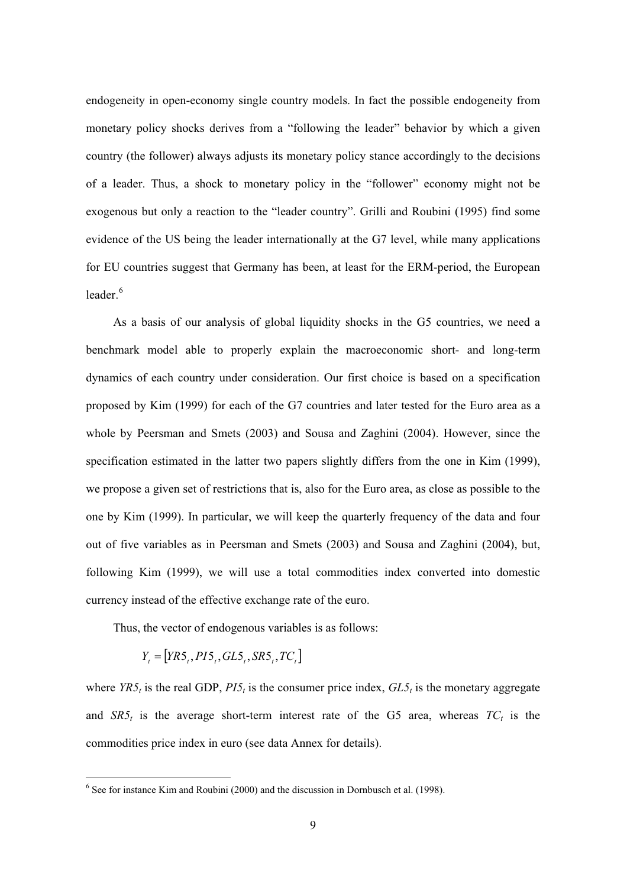endogeneity in open-economy single country models. In fact the possible endogeneity from monetary policy shocks derives from a "following the leader" behavior by which a given country (the follower) always adjusts its monetary policy stance accordingly to the decisions of a leader. Thus, a shock to monetary policy in the "follower" economy might not be exogenous but only a reaction to the "leader country". Grilli and Roubini (1995) find some evidence of the US being the leader internationally at the G7 level, while many applications for EU countries suggest that Germany has been, at least for the ERM-period, the European  $leader.<sup>6</sup>$ 

As a basis of our analysis of global liquidity shocks in the G5 countries, we need a benchmark model able to properly explain the macroeconomic short- and long-term dynamics of each country under consideration. Our first choice is based on a specification proposed by Kim (1999) for each of the G7 countries and later tested for the Euro area as a whole by Peersman and Smets (2003) and Sousa and Zaghini (2004). However, since the specification estimated in the latter two papers slightly differs from the one in Kim (1999), we propose a given set of restrictions that is, also for the Euro area, as close as possible to the one by Kim (1999). In particular, we will keep the quarterly frequency of the data and four out of five variables as in Peersman and Smets (2003) and Sousa and Zaghini (2004), but, following Kim (1999), we will use a total commodities index converted into domestic currency instead of the effective exchange rate of the euro.

Thus, the vector of endogenous variables is as follows:

$$
Y_t = [YR5_t, P15_t, GL5_t, SR5_t, TC_t]
$$

where *YR5<sub>t</sub>* is the real GDP,  $PI5<sub>t</sub>$  is the consumer price index,  $GL5<sub>t</sub>$  is the monetary aggregate and  $SR5<sub>t</sub>$  is the average short-term interest rate of the G5 area, whereas  $TC<sub>t</sub>$  is the commodities price index in euro (see data Annex for details).

 $<sup>6</sup>$  See for instance Kim and Roubini (2000) and the discussion in Dornbusch et al. (1998).</sup>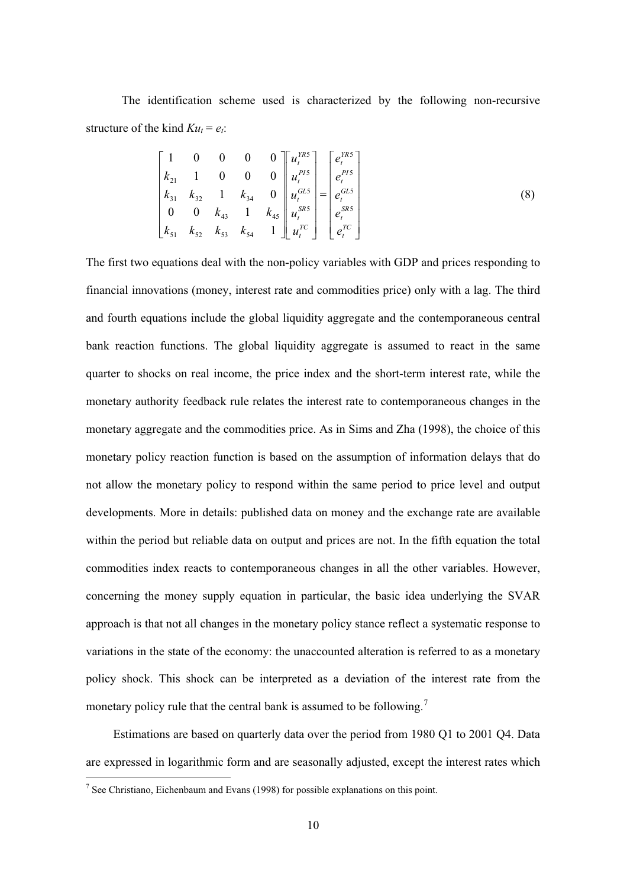The identification scheme used is characterized by the following non-recursive structure of the kind  $Ku_t = e_t$ :

$$
\begin{bmatrix} 1 & 0 & 0 & 0 & 0 \ k_{21} & 1 & 0 & 0 & 0 \ k_{31} & k_{32} & 1 & k_{34} & 0 \ 0 & 0 & k_{43} & 1 & k_{45} \ k_{51} & k_{52} & k_{53} & k_{54} & 1 \ \end{bmatrix} \begin{bmatrix} u_t^{YRS} \\ u_t^{PIS} \\ u_t^{GL5} \\ u_t^{SRS} \\ u_t^{SRS} \\ u_t^{TC} \end{bmatrix} = \begin{bmatrix} e_t^{YRS} \\ e_t^{CLS} \\ e_t^{SRS} \\ e_t^{SRS} \\ e_t^{TC} \\ e_t^{TC} \end{bmatrix}
$$
 (8)

The first two equations deal with the non-policy variables with GDP and prices responding to financial innovations (money, interest rate and commodities price) only with a lag. The third and fourth equations include the global liquidity aggregate and the contemporaneous central bank reaction functions. The global liquidity aggregate is assumed to react in the same quarter to shocks on real income, the price index and the short-term interest rate, while the monetary authority feedback rule relates the interest rate to contemporaneous changes in the monetary aggregate and the commodities price. As in Sims and Zha (1998), the choice of this monetary policy reaction function is based on the assumption of information delays that do not allow the monetary policy to respond within the same period to price level and output developments. More in details: published data on money and the exchange rate are available within the period but reliable data on output and prices are not. In the fifth equation the total commodities index reacts to contemporaneous changes in all the other variables. However, concerning the money supply equation in particular, the basic idea underlying the SVAR approach is that not all changes in the monetary policy stance reflect a systematic response to variations in the state of the economy: the unaccounted alteration is referred to as a monetary policy shock. This shock can be interpreted as a deviation of the interest rate from the monetary policy rule that the central bank is assumed to be following.<sup>7</sup>

Estimations are based on quarterly data over the period from 1980 Q1 to 2001 Q4. Data are expressed in logarithmic form and are seasonally adjusted, except the interest rates which

The Christiano, Eichenbaum and Evans (1998) for possible explanations on this point.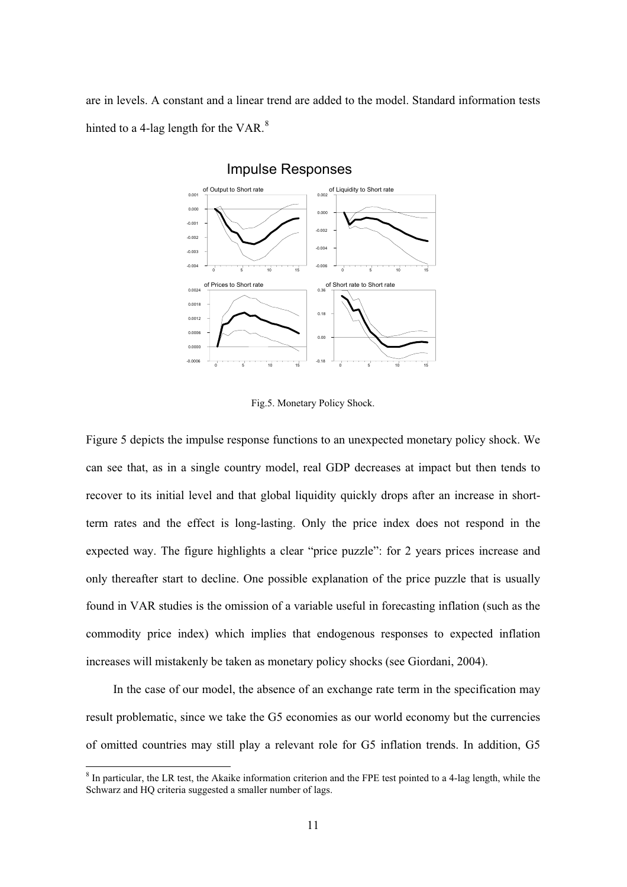are in levels. A constant and a linear trend are added to the model. Standard information tests hinted to a 4-lag length for the VAR. $8$ 



Impulse Responses

Fig.5. Monetary Policy Shock.

Figure 5 depicts the impulse response functions to an unexpected monetary policy shock. We can see that, as in a single country model, real GDP decreases at impact but then tends to recover to its initial level and that global liquidity quickly drops after an increase in shortterm rates and the effect is long-lasting. Only the price index does not respond in the expected way. The figure highlights a clear "price puzzle": for 2 years prices increase and only thereafter start to decline. One possible explanation of the price puzzle that is usually found in VAR studies is the omission of a variable useful in forecasting inflation (such as the commodity price index) which implies that endogenous responses to expected inflation increases will mistakenly be taken as monetary policy shocks (see Giordani, 2004).

In the case of our model, the absence of an exchange rate term in the specification may result problematic, since we take the G5 economies as our world economy but the currencies of omitted countries may still play a relevant role for G5 inflation trends. In addition, G5

<sup>&</sup>lt;sup>8</sup> In particular, the LR test, the Akaike information criterion and the FPE test pointed to a 4-lag length, while the Schwarz and HQ criteria suggested a smaller number of lags.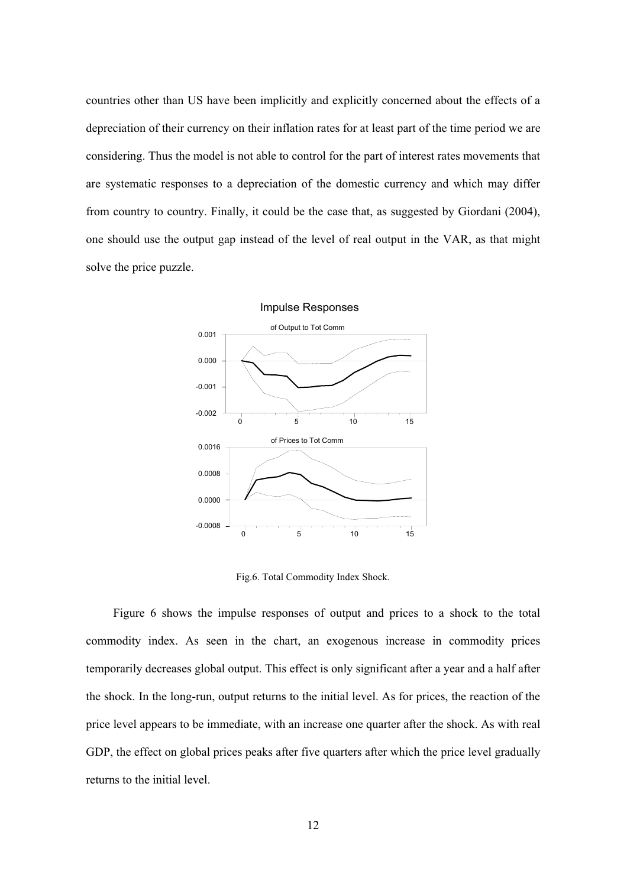countries other than US have been implicitly and explicitly concerned about the effects of a depreciation of their currency on their inflation rates for at least part of the time period we are considering. Thus the model is not able to control for the part of interest rates movements that are systematic responses to a depreciation of the domestic currency and which may differ from country to country. Finally, it could be the case that, as suggested by Giordani (2004), one should use the output gap instead of the level of real output in the VAR, as that might solve the price puzzle.



Fig.6. Total Commodity Index Shock.

Figure 6 shows the impulse responses of output and prices to a shock to the total commodity index. As seen in the chart, an exogenous increase in commodity prices temporarily decreases global output. This effect is only significant after a year and a half after the shock. In the long-run, output returns to the initial level. As for prices, the reaction of the price level appears to be immediate, with an increase one quarter after the shock. As with real GDP, the effect on global prices peaks after five quarters after which the price level gradually returns to the initial level.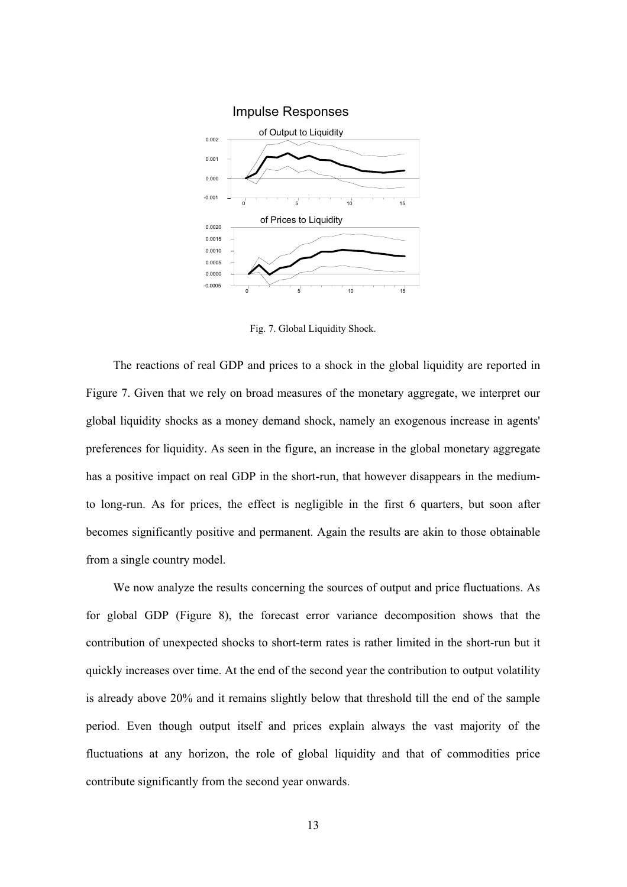

Fig. 7. Global Liquidity Shock.

The reactions of real GDP and prices to a shock in the global liquidity are reported in Figure 7. Given that we rely on broad measures of the monetary aggregate, we interpret our global liquidity shocks as a money demand shock, namely an exogenous increase in agents' preferences for liquidity. As seen in the figure, an increase in the global monetary aggregate has a positive impact on real GDP in the short-run, that however disappears in the mediumto long-run. As for prices, the effect is negligible in the first 6 quarters, but soon after becomes significantly positive and permanent. Again the results are akin to those obtainable from a single country model.

We now analyze the results concerning the sources of output and price fluctuations. As for global GDP (Figure 8), the forecast error variance decomposition shows that the contribution of unexpected shocks to short-term rates is rather limited in the short-run but it quickly increases over time. At the end of the second year the contribution to output volatility is already above 20% and it remains slightly below that threshold till the end of the sample period. Even though output itself and prices explain always the vast majority of the fluctuations at any horizon, the role of global liquidity and that of commodities price contribute significantly from the second year onwards.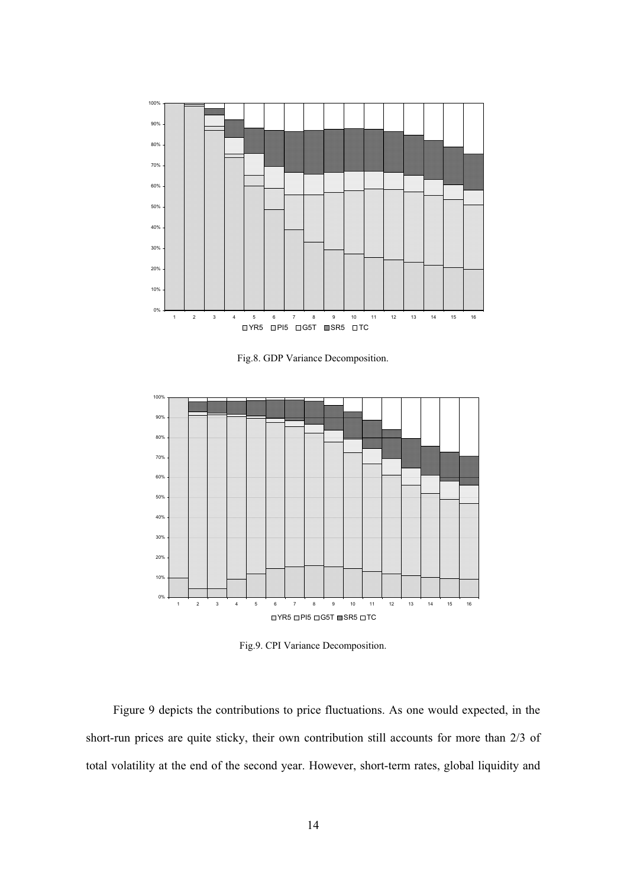

Fig.8. GDP Variance Decomposition.



Fig.9. CPI Variance Decomposition.

Figure 9 depicts the contributions to price fluctuations. As one would expected, in the short-run prices are quite sticky, their own contribution still accounts for more than 2/3 of total volatility at the end of the second year. However, short-term rates, global liquidity and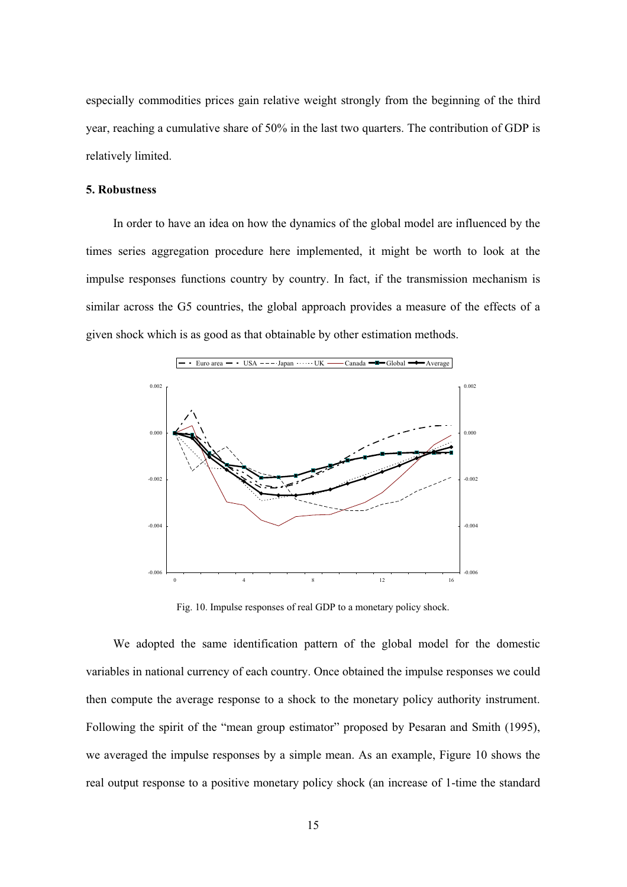especially commodities prices gain relative weight strongly from the beginning of the third year, reaching a cumulative share of 50% in the last two quarters. The contribution of GDP is relatively limited.

## **5. Robustness**

In order to have an idea on how the dynamics of the global model are influenced by the times series aggregation procedure here implemented, it might be worth to look at the impulse responses functions country by country. In fact, if the transmission mechanism is similar across the G5 countries, the global approach provides a measure of the effects of a given shock which is as good as that obtainable by other estimation methods.



Fig. 10. Impulse responses of real GDP to a monetary policy shock.

We adopted the same identification pattern of the global model for the domestic variables in national currency of each country. Once obtained the impulse responses we could then compute the average response to a shock to the monetary policy authority instrument. Following the spirit of the "mean group estimator" proposed by Pesaran and Smith (1995), we averaged the impulse responses by a simple mean. As an example, Figure 10 shows the real output response to a positive monetary policy shock (an increase of 1-time the standard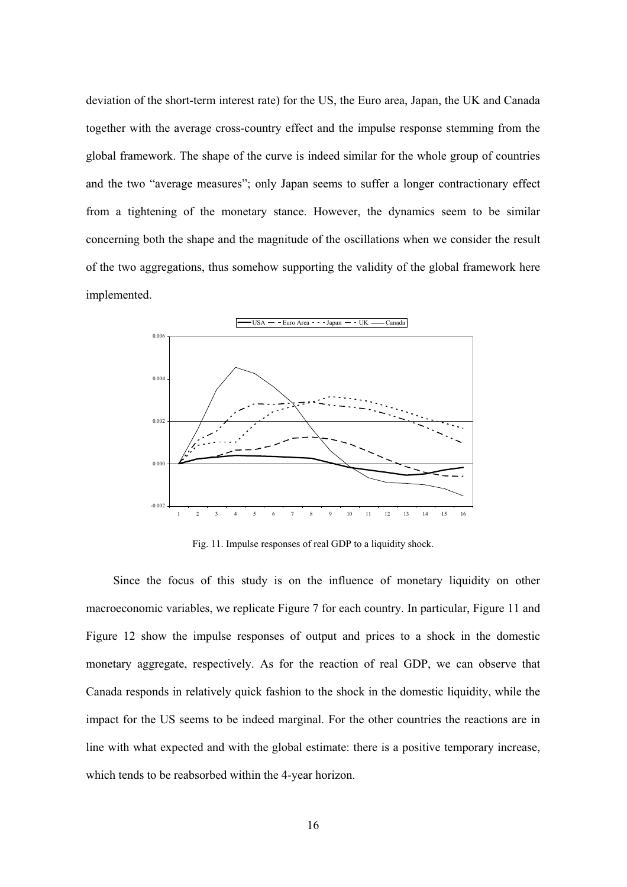deviation of the short-term interest rate) for the US, the Euro area, Japan, the UK and Canada together with the average cross-country effect and the impulse response stemming from the global framework. The shape of the curve is indeed similar for the whole group of countries and the two "average measures"; only Japan seems to suffer a longer contractionary effect from a tightening of the monetary stance. However, the dynamics seem to be similar concerning both the shape and the magnitude of the oscillations when we consider the result of the two aggregations, thus somehow supporting the validity of the global framework here implemented.



Fig. 11. Impulse responses of real GDP to a liquidity shock.

Since the focus of this study is on the influence of monetary liquidity on other macroeconomic variables, we replicate Figure 7 for each country. In particular, Figure 11 and Figure 12 show the impulse responses of output and prices to a shock in the domestic monetary aggregate, respectively. As for the reaction of real GDP, we can observe that Canada responds in relatively quick fashion to the shock in the domestic liquidity, while the impact for the US seems to be indeed marginal. For the other countries the reactions are in line with what expected and with the global estimate: there is a positive temporary increase, which tends to be reabsorbed within the 4-year horizon.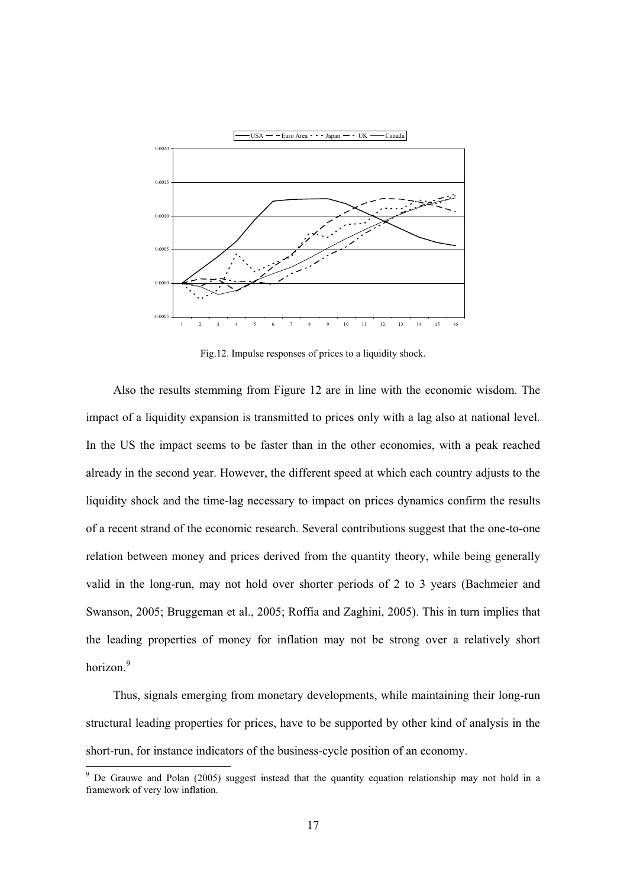

Fig.12. Impulse responses of prices to a liquidity shock.

Also the results stemming from Figure 12 are in line with the economic wisdom. The impact of a liquidity expansion is transmitted to prices only with a lag also at national level. In the US the impact seems to be faster than in the other economies, with a peak reached already in the second year. However, the different speed at which each country adjusts to the liquidity shock and the time-lag necessary to impact on prices dynamics confirm the results of a recent strand of the economic research. Several contributions suggest that the one-to-one relation between money and prices derived from the quantity theory, while being generally valid in the long-run, may not hold over shorter periods of 2 to 3 years (Bachmeier and Swanson, 2005; Bruggeman et al., 2005; Roffia and Zaghini, 2005). This in turn implies that the leading properties of money for inflation may not be strong over a relatively short horizon.<sup>9</sup>

Thus, signals emerging from monetary developments, while maintaining their long-run structural leading properties for prices, have to be supported by other kind of analysis in the short-run, for instance indicators of the business-cycle position of an economy.

The Grauwe and Polan (2005) suggest instead that the quantity equation relationship may not hold in a framework of very low inflation.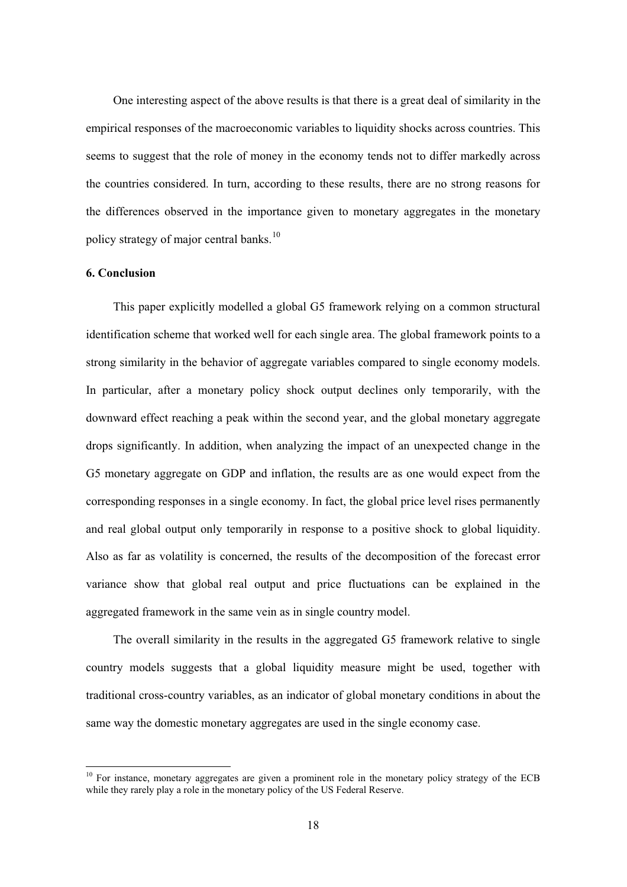One interesting aspect of the above results is that there is a great deal of similarity in the empirical responses of the macroeconomic variables to liquidity shocks across countries. This seems to suggest that the role of money in the economy tends not to differ markedly across the countries considered. In turn, according to these results, there are no strong reasons for the differences observed in the importance given to monetary aggregates in the monetary policy strategy of major central banks.<sup>10</sup>

# **6. Conclusion**

 $\overline{a}$ 

This paper explicitly modelled a global G5 framework relying on a common structural identification scheme that worked well for each single area. The global framework points to a strong similarity in the behavior of aggregate variables compared to single economy models. In particular, after a monetary policy shock output declines only temporarily, with the downward effect reaching a peak within the second year, and the global monetary aggregate drops significantly. In addition, when analyzing the impact of an unexpected change in the G5 monetary aggregate on GDP and inflation, the results are as one would expect from the corresponding responses in a single economy. In fact, the global price level rises permanently and real global output only temporarily in response to a positive shock to global liquidity. Also as far as volatility is concerned, the results of the decomposition of the forecast error variance show that global real output and price fluctuations can be explained in the aggregated framework in the same vein as in single country model.

The overall similarity in the results in the aggregated G5 framework relative to single country models suggests that a global liquidity measure might be used, together with traditional cross-country variables, as an indicator of global monetary conditions in about the same way the domestic monetary aggregates are used in the single economy case.

<sup>&</sup>lt;sup>10</sup> For instance, monetary aggregates are given a prominent role in the monetary policy strategy of the ECB while they rarely play a role in the monetary policy of the US Federal Reserve.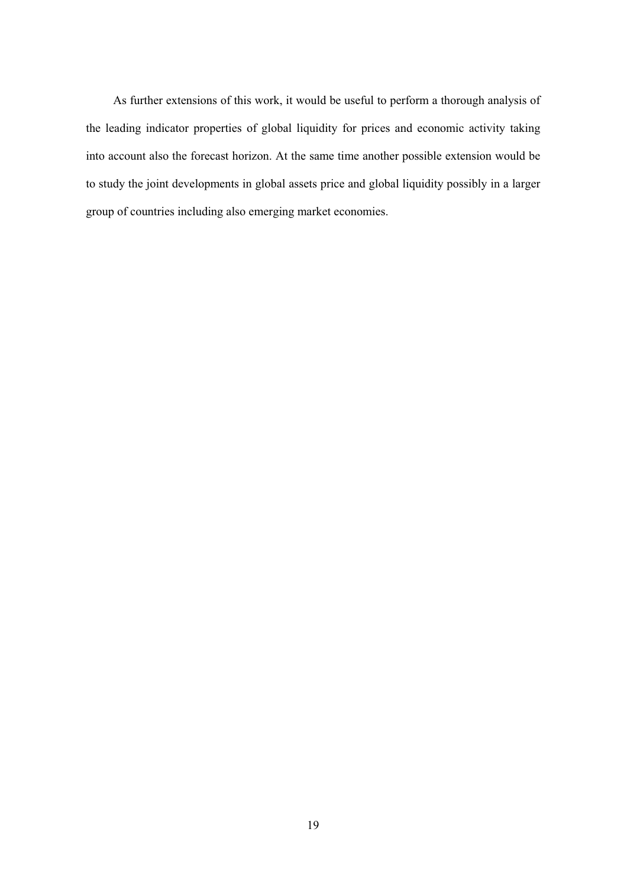As further extensions of this work, it would be useful to perform a thorough analysis of the leading indicator properties of global liquidity for prices and economic activity taking into account also the forecast horizon. At the same time another possible extension would be to study the joint developments in global assets price and global liquidity possibly in a larger group of countries including also emerging market economies.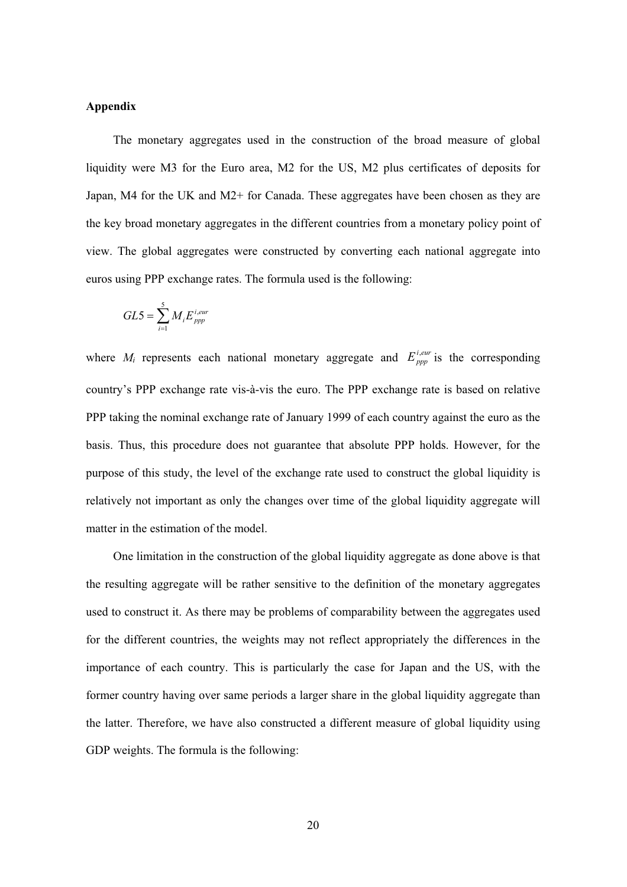## **Appendix**

The monetary aggregates used in the construction of the broad measure of global liquidity were M3 for the Euro area, M2 for the US, M2 plus certificates of deposits for Japan, M4 for the UK and M2+ for Canada. These aggregates have been chosen as they are the key broad monetary aggregates in the different countries from a monetary policy point of view. The global aggregates were constructed by converting each national aggregate into euros using PPP exchange rates. The formula used is the following:

$$
GL5 = \sum_{i=1}^{5} M_i E_{ppp}^{i,ew}
$$

where  $M_i$  represents each national monetary aggregate and  $E_{\text{ppp}}^{i, \text{eur}}$  is the corresponding country's PPP exchange rate vis-à-vis the euro. The PPP exchange rate is based on relative PPP taking the nominal exchange rate of January 1999 of each country against the euro as the basis. Thus, this procedure does not guarantee that absolute PPP holds. However, for the purpose of this study, the level of the exchange rate used to construct the global liquidity is relatively not important as only the changes over time of the global liquidity aggregate will matter in the estimation of the model.

One limitation in the construction of the global liquidity aggregate as done above is that the resulting aggregate will be rather sensitive to the definition of the monetary aggregates used to construct it. As there may be problems of comparability between the aggregates used for the different countries, the weights may not reflect appropriately the differences in the importance of each country. This is particularly the case for Japan and the US, with the former country having over same periods a larger share in the global liquidity aggregate than the latter. Therefore, we have also constructed a different measure of global liquidity using GDP weights. The formula is the following: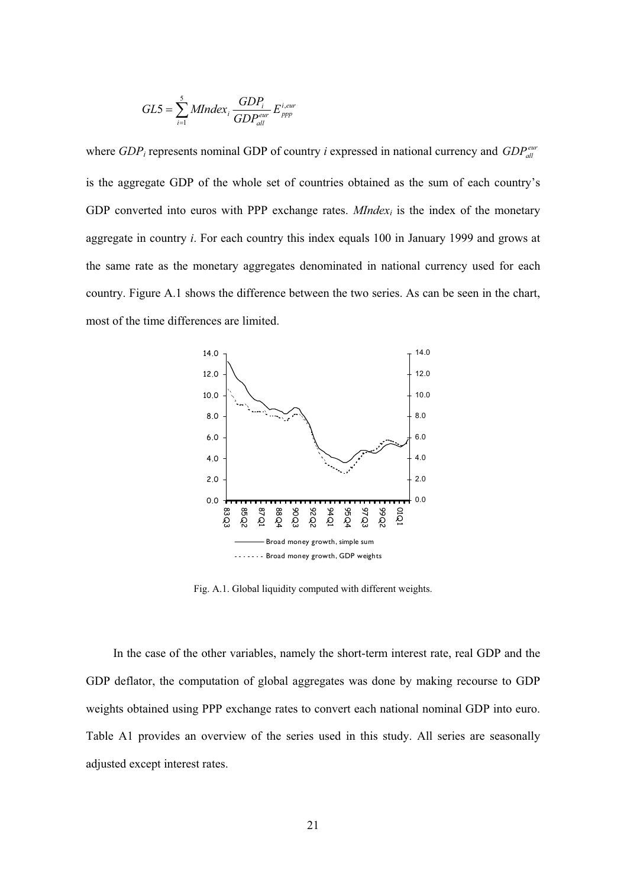$$
GL5 = \sum_{i=1}^{5} MIndex_i \frac{GDP_i}{GDP_{all}^{eur}} E_{ppp}^{i,eur}
$$

where *GDP<sub>i</sub>* represents nominal GDP of country *i* expressed in national currency and *GDP*<sup>eur</sup> is the aggregate GDP of the whole set of countries obtained as the sum of each country's GDP converted into euros with PPP exchange rates.  $MIndex_i$  is the index of the monetary aggregate in country *i*. For each country this index equals 100 in January 1999 and grows at the same rate as the monetary aggregates denominated in national currency used for each country. Figure A.1 shows the difference between the two series. As can be seen in the chart, most of the time differences are limited.



Fig. A.1. Global liquidity computed with different weights.

In the case of the other variables, namely the short-term interest rate, real GDP and the GDP deflator, the computation of global aggregates was done by making recourse to GDP weights obtained using PPP exchange rates to convert each national nominal GDP into euro. Table A1 provides an overview of the series used in this study. All series are seasonally adjusted except interest rates.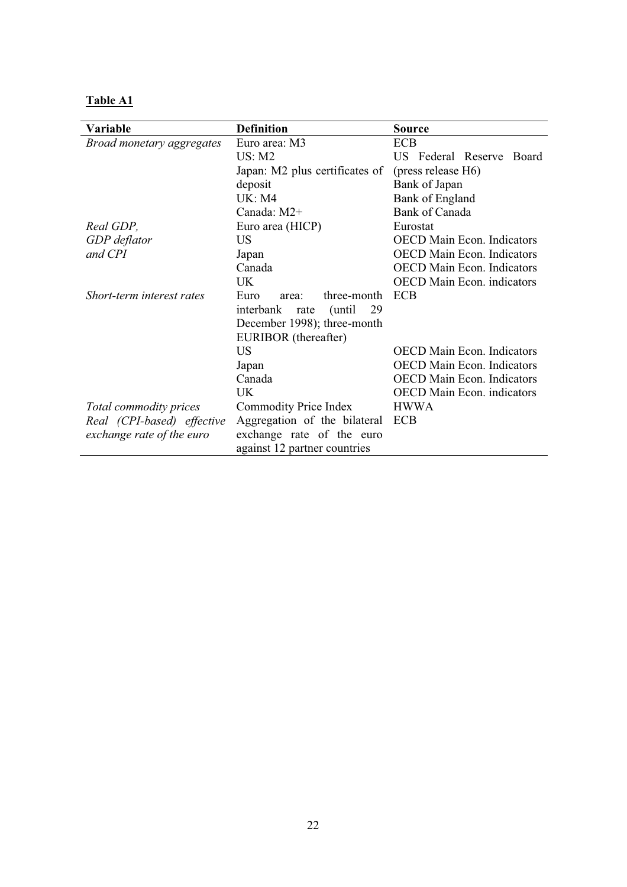| п<br>L<br>٠ |  |
|-------------|--|
|             |  |

| Variable                   | <b>Definition</b>                  | <b>Source</b>                      |
|----------------------------|------------------------------------|------------------------------------|
| Broad monetary aggregates  | Euro area: M3                      | <b>ECB</b>                         |
|                            | <b>US: M2</b>                      | US Federal Reserve<br><b>Board</b> |
|                            | Japan: M2 plus certificates of     | (press release H6)                 |
|                            | deposit                            | Bank of Japan                      |
|                            | <b>UK: M4</b>                      | Bank of England                    |
|                            | Canada: M2+                        | <b>Bank of Canada</b>              |
| Real GDP,                  | Euro area (HICP)                   | Eurostat                           |
| GDP deflator               | <b>US</b>                          | <b>OECD</b> Main Econ. Indicators  |
| and CPI                    | Japan                              | <b>OECD</b> Main Econ. Indicators  |
|                            | Canada                             | <b>OECD Main Econ. Indicators</b>  |
|                            | <b>UK</b>                          | <b>OECD</b> Main Econ. indicators  |
| Short-term interest rates  | Euro<br>three-month<br>area:       | <b>ECB</b>                         |
|                            | interbank<br>(until)<br>29<br>rate |                                    |
|                            | December 1998); three-month        |                                    |
|                            | EURIBOR (thereafter)               |                                    |
|                            | <b>US</b>                          | <b>OECD</b> Main Econ. Indicators  |
|                            | Japan                              | <b>OECD</b> Main Econ. Indicators  |
|                            | Canada                             | <b>OECD</b> Main Econ. Indicators  |
|                            | UK                                 | <b>OECD</b> Main Econ. indicators  |
| Total commodity prices     | Commodity Price Index              | <b>HWWA</b>                        |
| Real (CPI-based) effective | Aggregation of the bilateral       | <b>ECB</b>                         |
| exchange rate of the euro  | exchange rate of the euro          |                                    |
|                            | against 12 partner countries       |                                    |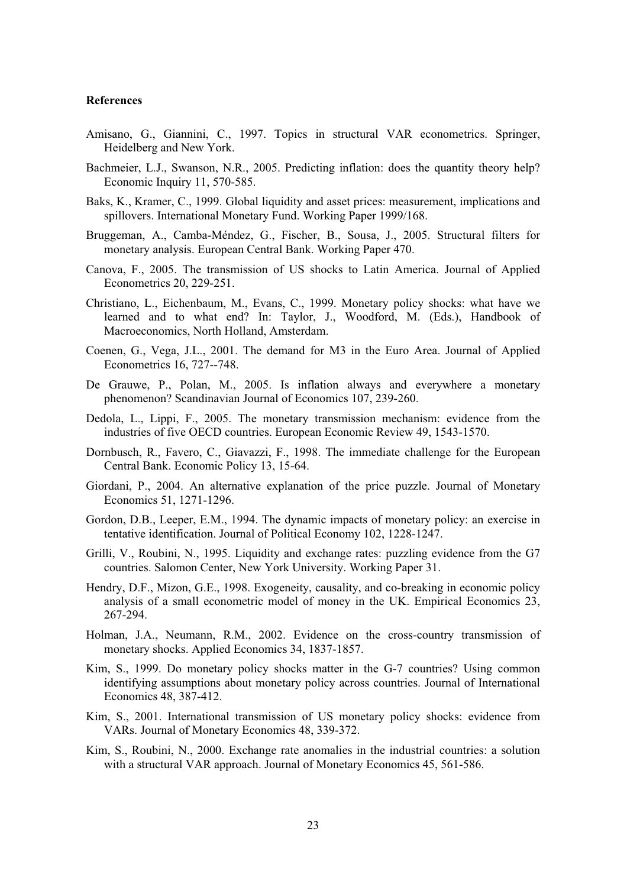#### **References**

- Amisano, G., Giannini, C., 1997. Topics in structural VAR econometrics. Springer, Heidelberg and New York.
- Bachmeier, L.J., Swanson, N.R., 2005. Predicting inflation: does the quantity theory help? Economic Inquiry 11, 570-585.
- Baks, K., Kramer, C., 1999. Global liquidity and asset prices: measurement, implications and spillovers. International Monetary Fund. Working Paper 1999/168.
- Bruggeman, A., Camba-Méndez, G., Fischer, B., Sousa, J., 2005. Structural filters for monetary analysis. European Central Bank. Working Paper 470.
- Canova, F., 2005. The transmission of US shocks to Latin America. Journal of Applied Econometrics 20, 229-251.
- Christiano, L., Eichenbaum, M., Evans, C., 1999. Monetary policy shocks: what have we learned and to what end? In: Taylor, J., Woodford, M. (Eds.), Handbook of Macroeconomics, North Holland, Amsterdam.
- Coenen, G., Vega, J.L., 2001. The demand for M3 in the Euro Area. Journal of Applied Econometrics 16, 727--748.
- De Grauwe, P., Polan, M., 2005. Is inflation always and everywhere a monetary phenomenon? Scandinavian Journal of Economics 107, 239-260.
- Dedola, L., Lippi, F., 2005. The monetary transmission mechanism: evidence from the industries of five OECD countries. European Economic Review 49, 1543-1570.
- Dornbusch, R., Favero, C., Giavazzi, F., 1998. The immediate challenge for the European Central Bank. Economic Policy 13, 15-64.
- Giordani, P., 2004. An alternative explanation of the price puzzle. Journal of Monetary Economics 51, 1271-1296.
- Gordon, D.B., Leeper, E.M., 1994. The dynamic impacts of monetary policy: an exercise in tentative identification. Journal of Political Economy 102, 1228-1247.
- Grilli, V., Roubini, N., 1995. Liquidity and exchange rates: puzzling evidence from the G7 countries. Salomon Center, New York University. Working Paper 31.
- Hendry, D.F., Mizon, G.E., 1998. Exogeneity, causality, and co-breaking in economic policy analysis of a small econometric model of money in the UK. Empirical Economics 23, 267-294.
- Holman, J.A., Neumann, R.M., 2002. Evidence on the cross-country transmission of monetary shocks. Applied Economics 34, 1837-1857.
- Kim, S., 1999. Do monetary policy shocks matter in the G-7 countries? Using common identifying assumptions about monetary policy across countries. Journal of International Economics 48, 387-412.
- Kim, S., 2001. International transmission of US monetary policy shocks: evidence from VARs. Journal of Monetary Economics 48, 339-372.
- Kim, S., Roubini, N., 2000. Exchange rate anomalies in the industrial countries: a solution with a structural VAR approach. Journal of Monetary Economics 45, 561-586.